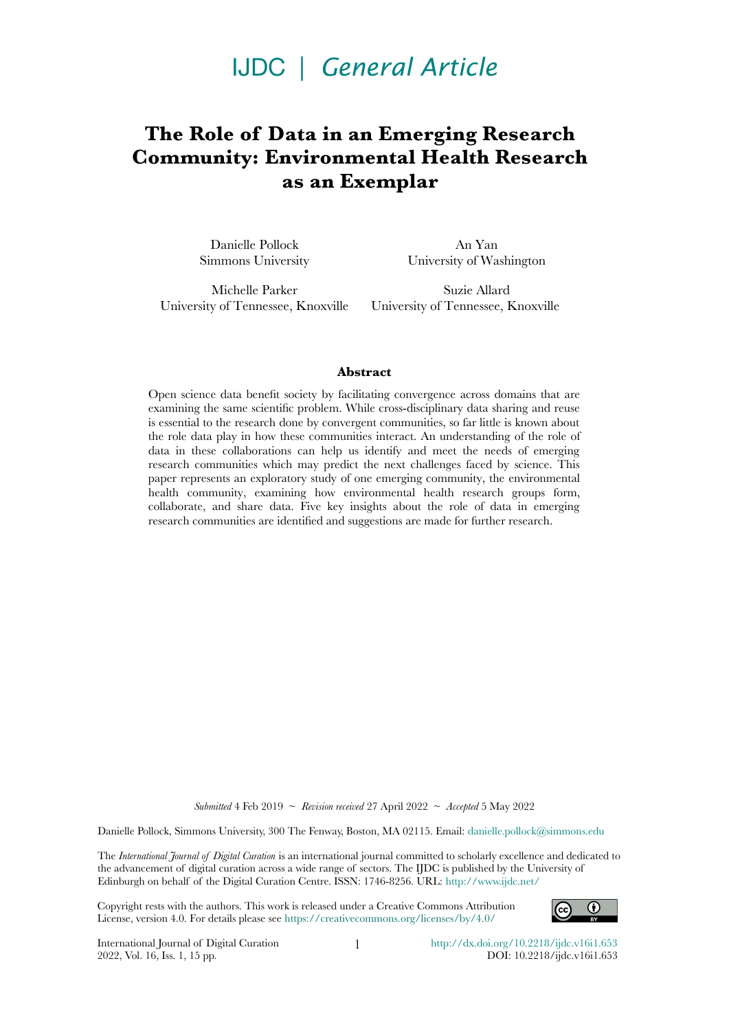# IJDC *| General Article*

# **The Role of Data in an Emerging Research Community: Environmental Health Research as an Exemplar**

Danielle Pollock Simmons University

An Yan University of Washington

Michelle Parker University of Tennessee, Knoxville

Suzie Allard University of Tennessee, Knoxville

#### **Abstract**

Open science data benefit society by facilitating convergence across domains that are examining the same scientific problem. While cross-disciplinary data sharing and reuse is essential to the research done by convergent communities, so far little is known about the role data play in how these communities interact. An understanding of the role of data in these collaborations can help us identify and meet the needs of emerging research communities which may predict the next challenges faced by science. This paper represents an exploratory study of one emerging community, the environmental health community, examining how environmental health research groups form, collaborate, and share data. Five key insights about the role of data in emerging research communities are identified and suggestions are made for further research.

*Submitted* 4 Feb 2019 ~ *Revision received* 27 April 2022 ~ *Accepted* 5 May 2022

Danielle Pollock, Simmons University, 300 The Fenway, Boston, MA 02115. Email: [danielle.pollock@simmons.edu](mailto:danielle.pollock@simmons.edu)

The *International Journal of Digital Curation* is an international journal committed to scholarly excellence and dedicated to the advancement of digital curation across a wide range of sectors. The IJDC is published by the University of Edinburgh on behalf of the Digital Curation Centre. ISSN: 1746-8256. URL: <http://www.ijdc.net/>

Copyright rests with the authors. This work is released under a Creative Commons Attribution License, version 4.0. For details please see https://creativecommons.org/licenses/by/4.0/



International Journal of Digital Curation 2022, Vol. 16, Iss. 1, 15 pp.

1 <http://dx.doi.org/10.2218/ijdc.v16i1.653> DOI: 10.2218/ijdc.v16i1.653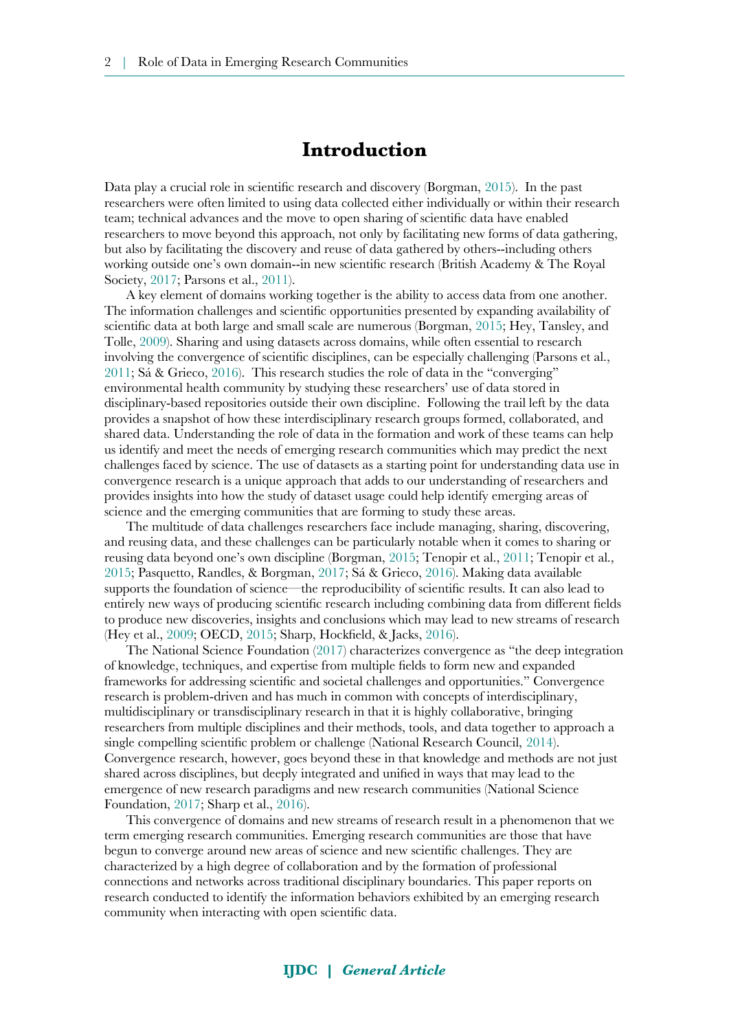## **Introduction**

Data play a crucial role in scientific research and discovery (Borgman, [2015](#page-10-0)). In the past researchers were often limited to using data collected either individually or within their research team; technical advances and the move to open sharing of scientific data have enabled researchers to move beyond this approach, not only by facilitating new forms of data gathering, but also by facilitating the discovery and reuse of data gathered by others--including others working outside one's own domain--in new scientific research (British Academy & The Royal Society, [2017;](#page-11-1) Parsons et al., [2011\)](#page-13-5).

A key element of domains working together is the ability to access data from one another. The information challenges and scientific opportunities presented by expanding availability of scientific data at both large and small scale are numerous (Borgman, [2015](#page-10-0); Hey, Tansley, and Tolle, [2009\)](#page-11-0). Sharing and using datasets across domains, while often essential to research involving the convergence of scientific disciplines, can be especially challenging (Parsons et al., [2011](#page-13-5); Sá & Grieco, [2016\)](#page-13-3). This research studies the role of data in the "converging" environmental health community by studying these researchers' use of data stored in disciplinary-based repositories outside their own discipline. Following the trail left by the data provides a snapshot of how these interdisciplinary research groups formed, collaborated, and shared data. Understanding the role of data in the formation and work of these teams can help us identify and meet the needs of emerging research communities which may predict the next challenges faced by science. The use of datasets as a starting point for understanding data use in convergence research is a unique approach that adds to our understanding of researchers and provides insights into how the study of dataset usage could help identify emerging areas of science and the emerging communities that are forming to study these areas.

The multitude of data challenges researchers face include managing, sharing, discovering, and reusing data, and these challenges can be particularly notable when it comes to sharing or reusing data beyond one's own discipline (Borgman, [2015;](#page-10-0) Tenopir et al., [2011](#page-14-1); Tenopir et al., [2015](#page-14-0); Pasquetto, Randles, & Borgman, [2017;](#page-13-4) Sá & Grieco, [2016](#page-13-3)). Making data available supports the foundation of science—the reproducibility of scientific results. It can also lead to entirely new ways of producing scientific research including combining data from different fields to produce new discoveries, insights and conclusions which may lead to new streams of research (Hey et al., [2009](#page-11-0); OECD, [2015](#page-13-2); Sharp, Hockfield, & Jacks, [2016\)](#page-13-0).

The National Science Foundation [\(2017](#page-13-1)) characterizes convergence as "the deep integration of knowledge, techniques, and expertise from multiple fields to form new and expanded frameworks for addressing scientific and societal challenges and opportunities." Convergence research is problem-driven and has much in common with concepts of interdisciplinary, multidisciplinary or transdisciplinary research in that it is highly collaborative, bringing researchers from multiple disciplines and their methods, tools, and data together to approach a single compelling scientific problem or challenge (National Research Council, [2014\)](#page-12-0). Convergence research, however, goes beyond these in that knowledge and methods are not just shared across disciplines, but deeply integrated and unified in ways that may lead to the emergence of new research paradigms and new research communities (National Science Foundation, [2017](#page-13-1); Sharp et al., [2016\)](#page-13-0).

This convergence of domains and new streams of research result in a phenomenon that we term emerging research communities. Emerging research communities are those that have begun to converge around new areas of science and new scientific challenges. They are characterized by a high degree of collaboration and by the formation of professional connections and networks across traditional disciplinary boundaries. This paper reports on research conducted to identify the information behaviors exhibited by an emerging research community when interacting with open scientific data.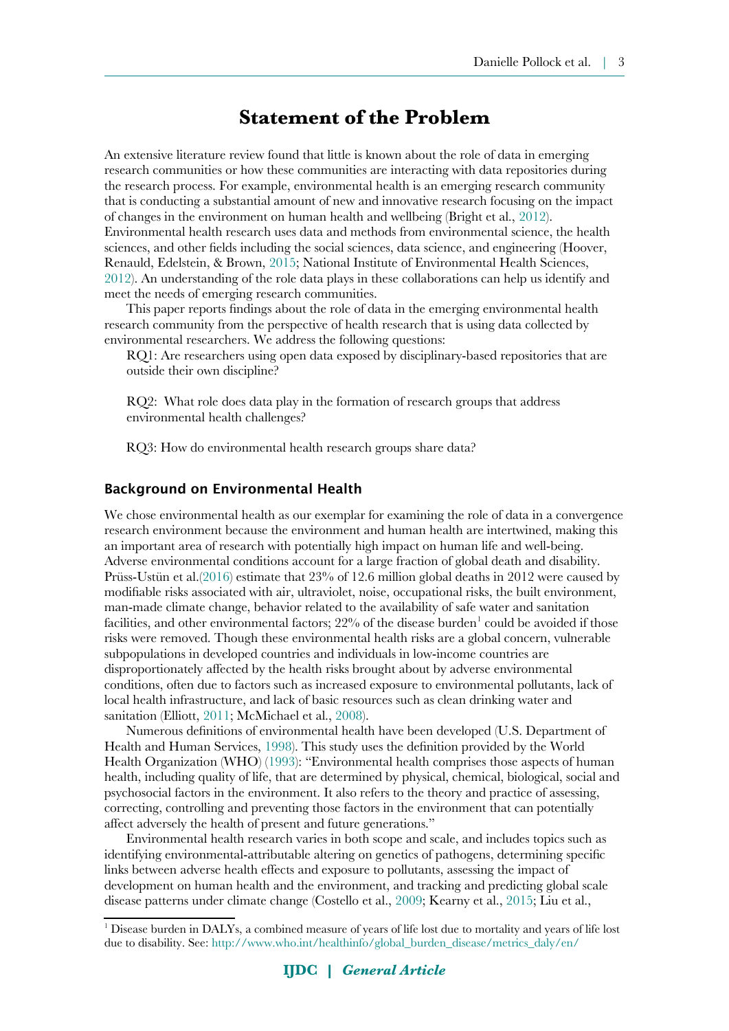## **Statement of the Problem**

An extensive literature review found that little is known about the role of data in emerging research communities or how these communities are interacting with data repositories during the research process. For example, environmental health is an emerging research community that is conducting a substantial amount of new and innovative research focusing on the impact of changes in the environment on human health and wellbeing (Bright et al., [2012](#page-10-1)). Environmental health research uses data and methods from environmental science, the health sciences, and other fields including the social sciences, data science, and engineering (Hoover, Renauld, Edelstein, & Brown, [2015;](#page-11-5) National Institute of Environmental Health Sciences, [2012](#page-12-2)). An understanding of the role data plays in these collaborations can help us identify and meet the needs of emerging research communities.

This paper reports findings about the role of data in the emerging environmental health research community from the perspective of health research that is using data collected by environmental researchers. We address the following questions:

RQ1: Are researchers using open data exposed by disciplinary-based repositories that are outside their own discipline?

RQ2: What role does data play in the formation of research groups that address environmental health challenges?

RQ3: How do environmental health research groups share data?

#### Background on Environmental Health

We chose environmental health as our exemplar for examining the role of data in a convergence research environment because the environment and human health are intertwined, making this an important area of research with potentially high impact on human life and well-being. Adverse environmental conditions account for a large fraction of global death and disability. Prüss-Ustün et al.[\(2016](#page-13-6)) estimate that 23% of 12.6 million global deaths in 2012 were caused by modifiable risks associated with air, ultraviolet, noise, occupational risks, the built environment, man-made climate change, behavior related to the availability of safe water and sanitation facilities, and other environmental factors;  $22%$  of the disease burden $^1$  $^1$  could be avoided if those risks were removed. Though these environmental health risks are a global concern, vulnerable subpopulations in developed countries and individuals in low-income countries are disproportionately affected by the health risks brought about by adverse environmental conditions, often due to factors such as increased exposure to environmental pollutants, lack of local health infrastructure, and lack of basic resources such as clean drinking water and sanitation (Elliott, [2011](#page-11-4); McMichael et al., [2008](#page-12-1)).

Numerous definitions of environmental health have been developed (U.S. Department of Health and Human Services, [1998](#page-14-3)). This study uses the definition provided by the World Health Organization (WHO) [\(1993](#page-14-2)): "Environmental health comprises those aspects of human health, including quality of life, that are determined by physical, chemical, biological, social and psychosocial factors in the environment. It also refers to the theory and practice of assessing, correcting, controlling and preventing those factors in the environment that can potentially affect adversely the health of present and future generations."

Environmental health research varies in both scope and scale, and includes topics such as identifying environmental-attributable altering on genetics of pathogens, determining specific links between adverse health effects and exposure to pollutants, assessing the impact of development on human health and the environment, and tracking and predicting global scale disease patterns under climate change (Costello et al., [2009](#page-11-3); Kearny et al., [2015](#page-11-2); Liu et al.,

<span id="page-2-0"></span><sup>&</sup>lt;sup>1</sup> Disease burden in DALYs, a combined measure of years of life lost due to mortality and years of life lost due to disability. See: [http://www.who.int/healthinfo/global\\_burden\\_disease/metrics\\_daly/en/](http://www.who.int/healthinfo/global_burden_disease/metrics_daly/en/)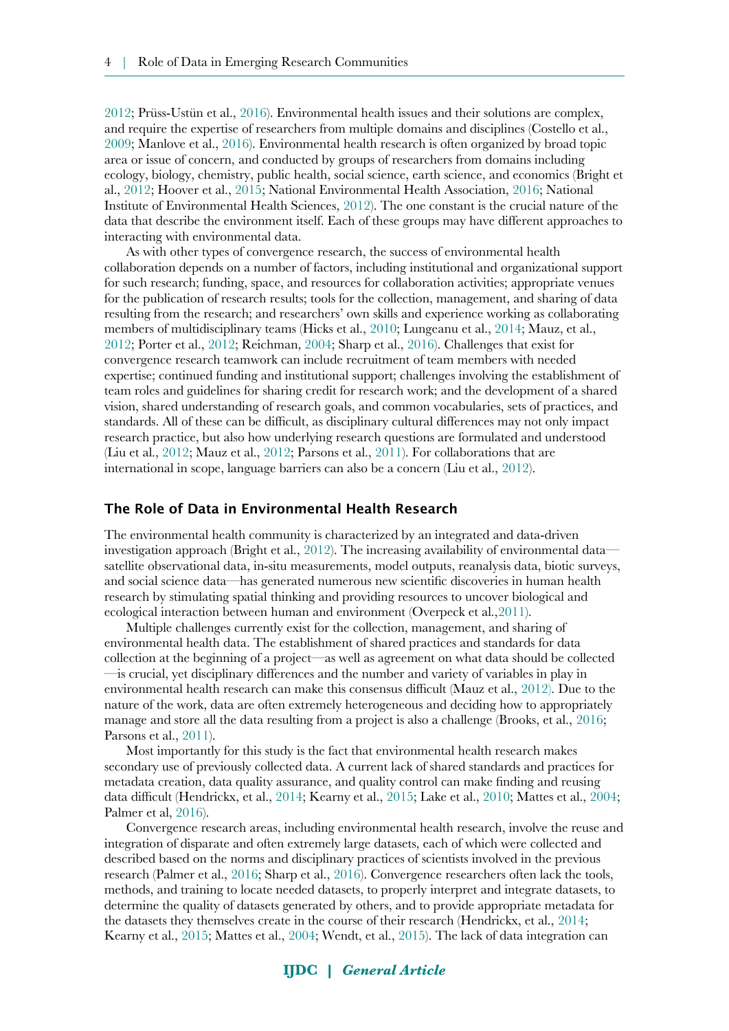[2012](#page-12-6); Prüss-Ustün et al., [2016\)](#page-13-6). Environmental health issues and their solutions are complex, and require the expertise of researchers from multiple domains and disciplines (Costello et al., [2009](#page-11-3); Manlove et al., [2016](#page-12-9)). Environmental health research is often organized by broad topic area or issue of concern, and conducted by groups of researchers from domains including ecology, biology, chemistry, public health, social science, earth science, and economics (Bright et al., [2012](#page-10-1); Hoover et al., [2015](#page-11-5); National Environmental Health Association, [2016;](#page-12-8) National Institute of Environmental Health Sciences, [2012\)](#page-12-2). The one constant is the crucial nature of the data that describe the environment itself. Each of these groups may have different approaches to interacting with environmental data.

As with other types of convergence research, the success of environmental health collaboration depends on a number of factors, including institutional and organizational support for such research; funding, space, and resources for collaboration activities; appropriate venues for the publication of research results; tools for the collection, management, and sharing of data resulting from the research; and researchers' own skills and experience working as collaborating members of multidisciplinary teams (Hicks et al., [2010](#page-11-8); Lungeanu et al., [2014](#page-12-7); Mauz, et al., [2012](#page-12-5); Porter et al., [2012](#page-13-10); Reichman, [2004;](#page-13-9) Sharp et al., [2016\)](#page-13-0). Challenges that exist for convergence research teamwork can include recruitment of team members with needed expertise; continued funding and institutional support; challenges involving the establishment of team roles and guidelines for sharing credit for research work; and the development of a shared vision, shared understanding of research goals, and common vocabularies, sets of practices, and standards. All of these can be difficult, as disciplinary cultural differences may not only impact research practice, but also how underlying research questions are formulated and understood (Liu et al., [2012](#page-12-6); Mauz et al., [2012](#page-12-5); Parsons et al., [2011](#page-13-5)). For collaborations that are international in scope, language barriers can also be a concern (Liu et al., [2012](#page-12-6)).

#### The Role of Data in Environmental Health Research

The environmental health community is characterized by an integrated and data-driven investigation approach (Bright et al., [2012](#page-10-1)). The increasing availability of environmental data satellite observational data, in-situ measurements, model outputs, reanalysis data, biotic surveys, and social science data—has generated numerous new scientific discoveries in human health research by stimulating spatial thinking and providing resources to uncover biological and ecological interaction between human and environment (Overpeck et al.,[2011](#page-13-8)).

Multiple challenges currently exist for the collection, management, and sharing of environmental health data. The establishment of shared practices and standards for data collection at the beginning of a project—as well as agreement on what data should be collected —is crucial, yet disciplinary differences and the number and variety of variables in play in environmental health research can make this consensus difficult (Mauz et al., [2012\)](#page-12-5). Due to the nature of the work, data are often extremely heterogeneous and deciding how to appropriately manage and store all the data resulting from a project is also a challenge (Brooks, et al., [2016;](#page-11-7) Parsons et al., [2011\)](#page-13-5).

Most importantly for this study is the fact that environmental health research makes secondary use of previously collected data. A current lack of shared standards and practices for metadata creation, data quality assurance, and quality control can make finding and reusing data difficult (Hendrickx, et al., [2014](#page-11-6); Kearny et al., [2015;](#page-11-2) Lake et al., [2010](#page-12-4); Mattes et al., [2004;](#page-12-3) Palmer et al, [2016\)](#page-13-7).

Convergence research areas, including environmental health research, involve the reuse and integration of disparate and often extremely large datasets, each of which were collected and described based on the norms and disciplinary practices of scientists involved in the previous research (Palmer et al., [2016;](#page-13-7) Sharp et al., [2016](#page-13-0)). Convergence researchers often lack the tools, methods, and training to locate needed datasets, to properly interpret and integrate datasets, to determine the quality of datasets generated by others, and to provide appropriate metadata for the datasets they themselves create in the course of their research (Hendrickx, et al., [2014;](#page-11-6) Kearny et al., [2015](#page-11-2); Mattes et al., [2004;](#page-12-3) Wendt, et al., [2015](#page-14-4)). The lack of data integration can

### **IJDC |** *General Article*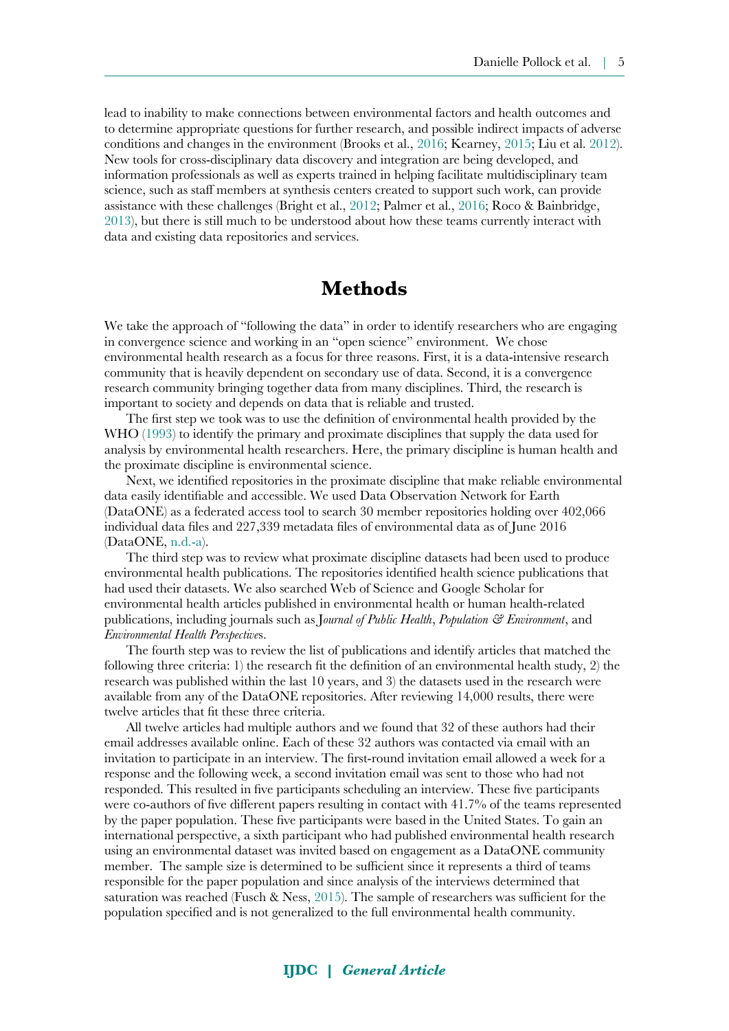lead to inability to make connections between environmental factors and health outcomes and to determine appropriate questions for further research, and possible indirect impacts of adverse conditions and changes in the environment (Brooks et al., [2016;](#page-11-7) Kearney, [2015](#page-11-2); Liu et al. [2012](#page-12-6)). New tools for cross-disciplinary data discovery and integration are being developed, and information professionals as well as experts trained in helping facilitate multidisciplinary team science, such as staff members at synthesis centers created to support such work, can provide assistance with these challenges (Bright et al., [2012;](#page-10-1) Palmer et al., [2016](#page-13-7); Roco & Bainbridge, [2013](#page-13-11)), but there is still much to be understood about how these teams currently interact with data and existing data repositories and services.

# **Methods**

We take the approach of "following the data" in order to identify researchers who are engaging in convergence science and working in an "open science" environment. We chose environmental health research as a focus for three reasons. First, it is a data-intensive research community that is heavily dependent on secondary use of data. Second, it is a convergence research community bringing together data from many disciplines. Third, the research is important to society and depends on data that is reliable and trusted.

The first step we took was to use the definition of environmental health provided by the WHO ([1993\)](#page-14-2) to identify the primary and proximate disciplines that supply the data used for analysis by environmental health researchers. Here, the primary discipline is human health and the proximate discipline is environmental science.

Next, we identified repositories in the proximate discipline that make reliable environmental data easily identifiable and accessible. We used Data Observation Network for Earth (DataONE) as a federated access tool to search 30 member repositories holding over 402,066 individual data files and 227,339 metadata files of environmental data as of June 2016 (DataONE, [n.d.-a](#page-11-10)).

The third step was to review what proximate discipline datasets had been used to produce environmental health publications. The repositories identified health science publications that had used their datasets. We also searched Web of Science and Google Scholar for environmental health articles published in environmental health or human health-related publications, including journals such as J*ournal of Public Health*, *Population & Environment*, and *Environmental Health Perspective*s.

The fourth step was to review the list of publications and identify articles that matched the following three criteria: 1) the research fit the definition of an environmental health study, 2) the research was published within the last 10 years, and 3) the datasets used in the research were available from any of the DataONE repositories. After reviewing 14,000 results, there were twelve articles that fit these three criteria.

All twelve articles had multiple authors and we found that 32 of these authors had their email addresses available online. Each of these 32 authors was contacted via email with an invitation to participate in an interview. The first-round invitation email allowed a week for a response and the following week, a second invitation email was sent to those who had not responded. This resulted in five participants scheduling an interview. These five participants were co-authors of five different papers resulting in contact with 41.7% of the teams represented by the paper population. These five participants were based in the United States. To gain an international perspective, a sixth participant who had published environmental health research using an environmental dataset was invited based on engagement as a DataONE community member. The sample size is determined to be sufficient since it represents a third of teams responsible for the paper population and since analysis of the interviews determined that saturation was reached (Fusch & Ness, [2015\)](#page-11-9). The sample of researchers was sufficient for the population specified and is not generalized to the full environmental health community.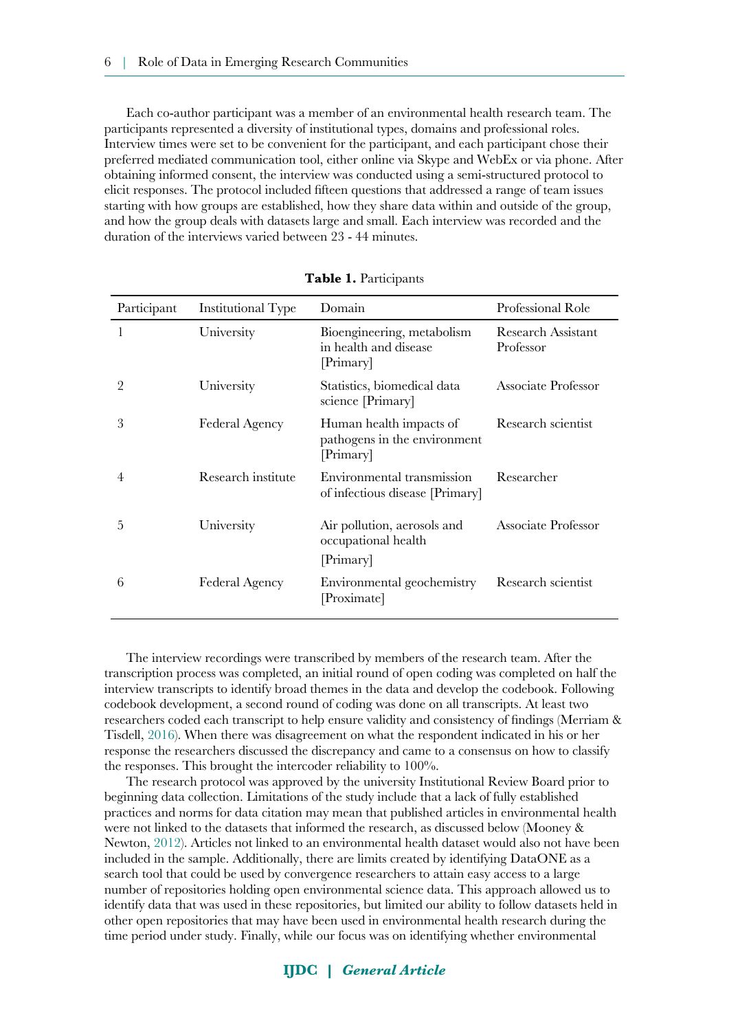Each co-author participant was a member of an environmental health research team. The participants represented a diversity of institutional types, domains and professional roles. Interview times were set to be convenient for the participant, and each participant chose their preferred mediated communication tool, either online via Skype and WebEx or via phone. After obtaining informed consent, the interview was conducted using a semi-structured protocol to elicit responses. The protocol included fifteen questions that addressed a range of team issues starting with how groups are established, how they share data within and outside of the group, and how the group deals with datasets large and small. Each interview was recorded and the duration of the interviews varied between 23 - 44 minutes.

| Participant | Institutional Type    | Domain                                                               | Professional Role               |
|-------------|-----------------------|----------------------------------------------------------------------|---------------------------------|
| 1           | University            | Bioengineering, metabolism<br>in health and disease<br>[Primary]     | Research Assistant<br>Professor |
| 2           | University            | Statistics, biomedical data<br>science [Primary]                     | Associate Professor             |
| 3           | Federal Agency        | Human health impacts of<br>pathogens in the environment<br>[Primary] | Research scientist              |
| 4           | Research institute    | Environmental transmission<br>of infectious disease [Primary]        | Researcher                      |
| 5           | University            | Air pollution, aerosols and<br>occupational health<br>[Primary]      | Associate Professor             |
| 6           | <b>Federal Agency</b> | Environmental geochemistry<br>[Proximate]                            | Research scientist              |

| Table 1. Participants |  |
|-----------------------|--|
|-----------------------|--|

The interview recordings were transcribed by members of the research team. After the transcription process was completed, an initial round of open coding was completed on half the interview transcripts to identify broad themes in the data and develop the codebook. Following codebook development, a second round of coding was done on all transcripts. At least two researchers coded each transcript to help ensure validity and consistency of findings (Merriam & Tisdell, [2016\)](#page-12-11). When there was disagreement on what the respondent indicated in his or her response the researchers discussed the discrepancy and came to a consensus on how to classify the responses. This brought the intercoder reliability to 100%.

The research protocol was approved by the university Institutional Review Board prior to beginning data collection. Limitations of the study include that a lack of fully established practices and norms for data citation may mean that published articles in environmental health were not linked to the datasets that informed the research, as discussed below (Mooney & Newton, [2012\)](#page-12-10). Articles not linked to an environmental health dataset would also not have been included in the sample. Additionally, there are limits created by identifying DataONE as a search tool that could be used by convergence researchers to attain easy access to a large number of repositories holding open environmental science data. This approach allowed us to identify data that was used in these repositories, but limited our ability to follow datasets held in other open repositories that may have been used in environmental health research during the time period under study. Finally, while our focus was on identifying whether environmental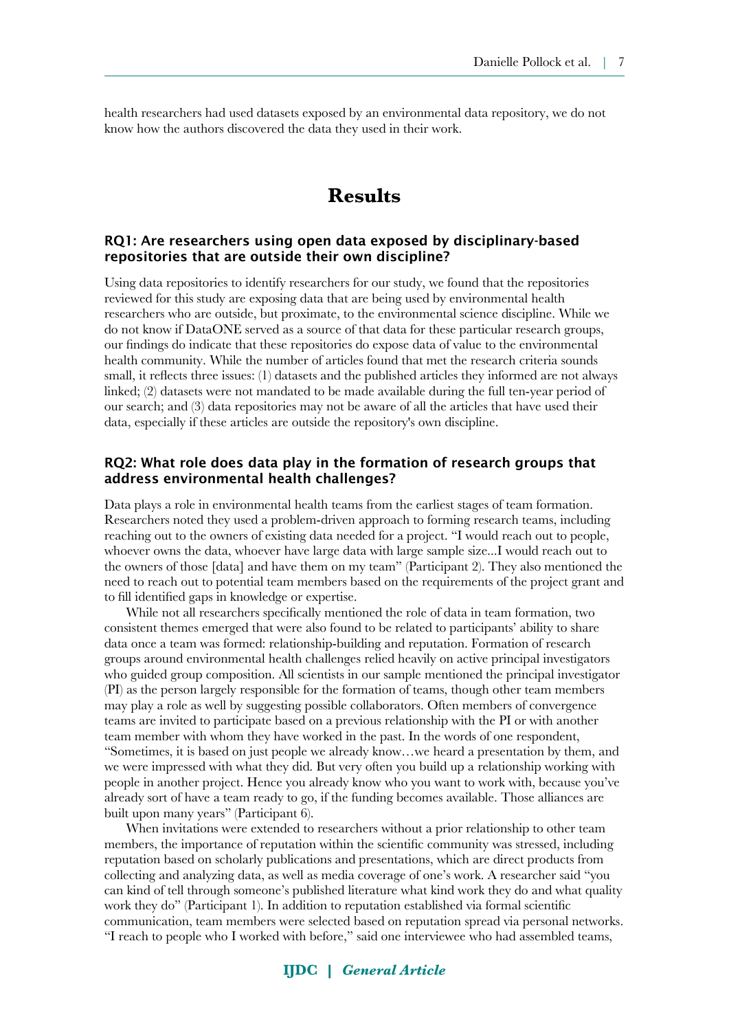health researchers had used datasets exposed by an environmental data repository, we do not know how the authors discovered the data they used in their work.

# **Results**

### RQ1: Are researchers using open data exposed by disciplinary-based repositories that are outside their own discipline?

Using data repositories to identify researchers for our study, we found that the repositories reviewed for this study are exposing data that are being used by environmental health researchers who are outside, but proximate, to the environmental science discipline. While we do not know if DataONE served as a source of that data for these particular research groups, our findings do indicate that these repositories do expose data of value to the environmental health community. While the number of articles found that met the research criteria sounds small, it reflects three issues: (1) datasets and the published articles they informed are not always linked; (2) datasets were not mandated to be made available during the full ten-year period of our search; and (3) data repositories may not be aware of all the articles that have used their data, especially if these articles are outside the repository's own discipline.

#### RQ2: What role does data play in the formation of research groups that address environmental health challenges?

Data plays a role in environmental health teams from the earliest stages of team formation. Researchers noted they used a problem-driven approach to forming research teams, including reaching out to the owners of existing data needed for a project. "I would reach out to people, whoever owns the data, whoever have large data with large sample size...I would reach out to the owners of those [data] and have them on my team" (Participant 2). They also mentioned the need to reach out to potential team members based on the requirements of the project grant and to fill identified gaps in knowledge or expertise.

While not all researchers specifically mentioned the role of data in team formation, two consistent themes emerged that were also found to be related to participants' ability to share data once a team was formed: relationship-building and reputation. Formation of research groups around environmental health challenges relied heavily on active principal investigators who guided group composition. All scientists in our sample mentioned the principal investigator (PI) as the person largely responsible for the formation of teams, though other team members may play a role as well by suggesting possible collaborators. Often members of convergence teams are invited to participate based on a previous relationship with the PI or with another team member with whom they have worked in the past. In the words of one respondent, "Sometimes, it is based on just people we already know…we heard a presentation by them, and we were impressed with what they did. But very often you build up a relationship working with people in another project. Hence you already know who you want to work with, because you've already sort of have a team ready to go, if the funding becomes available. Those alliances are built upon many years" (Participant 6).

When invitations were extended to researchers without a prior relationship to other team members, the importance of reputation within the scientific community was stressed, including reputation based on scholarly publications and presentations, which are direct products from collecting and analyzing data, as well as media coverage of one's work. A researcher said "you can kind of tell through someone's published literature what kind work they do and what quality work they do" (Participant 1). In addition to reputation established via formal scientific communication, team members were selected based on reputation spread via personal networks. "I reach to people who I worked with before," said one interviewee who had assembled teams,

### **IJDC |** *General Article*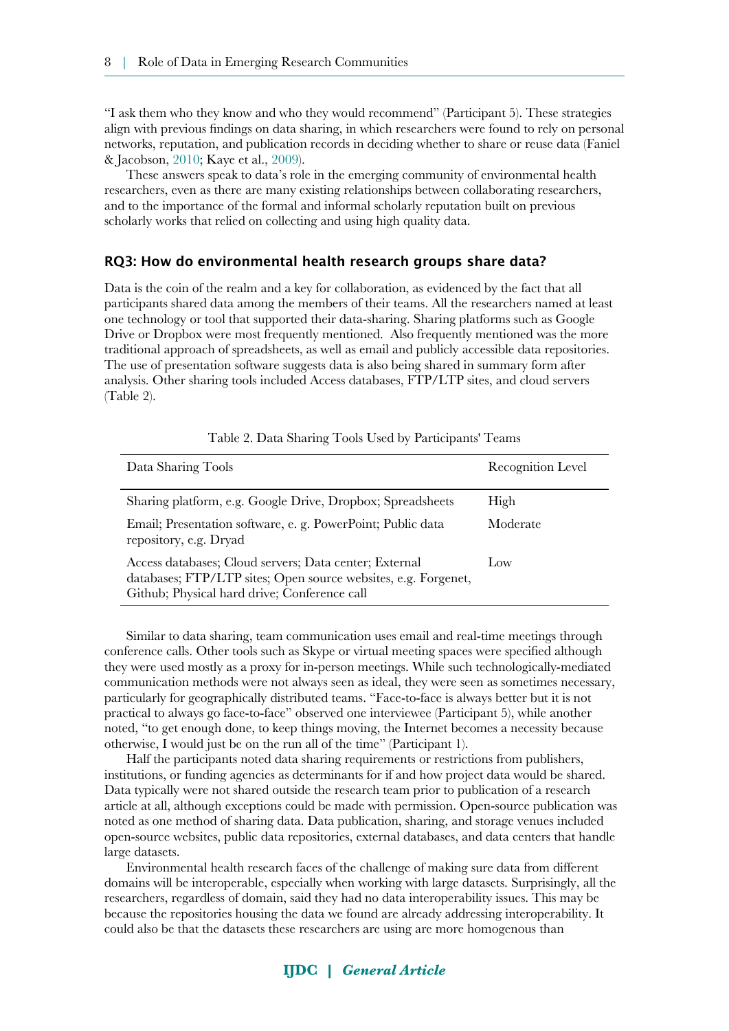"I ask them who they know and who they would recommend" (Participant 5). These strategies align with previous findings on data sharing, in which researchers were found to rely on personal networks, reputation, and publication records in deciding whether to share or reuse data (Faniel & Jacobson, [2010](#page-11-12); Kaye et al., [2009\)](#page-11-11).

These answers speak to data's role in the emerging community of environmental health researchers, even as there are many existing relationships between collaborating researchers, and to the importance of the formal and informal scholarly reputation built on previous scholarly works that relied on collecting and using high quality data.

#### RQ3: How do environmental health research groups share data?

Data is the coin of the realm and a key for collaboration, as evidenced by the fact that all participants shared data among the members of their teams. All the researchers named at least one technology or tool that supported their data-sharing. Sharing platforms such as Google Drive or Dropbox were most frequently mentioned. Also frequently mentioned was the more traditional approach of spreadsheets, as well as email and publicly accessible data repositories. The use of presentation software suggests data is also being shared in summary form after analysis. Other sharing tools included Access databases, FTP/LTP sites, and cloud servers (Table 2).

| Data Sharing Tools                                                                                                                                                       | Recognition Level |
|--------------------------------------------------------------------------------------------------------------------------------------------------------------------------|-------------------|
| Sharing platform, e.g. Google Drive, Dropbox; Spreadsheets                                                                                                               | High              |
| Email; Presentation software, e. g. PowerPoint; Public data<br>repository, e.g. Dryad                                                                                    | Moderate          |
| Access databases; Cloud servers; Data center; External<br>databases; FTP/LTP sites; Open source websites, e.g. Forgenet,<br>Github; Physical hard drive; Conference call | Low               |

Table 2. Data Sharing Tools Used by Participants' Teams

Similar to data sharing, team communication uses email and real-time meetings through conference calls. Other tools such as Skype or virtual meeting spaces were specified although they were used mostly as a proxy for in-person meetings. While such technologically-mediated communication methods were not always seen as ideal, they were seen as sometimes necessary, particularly for geographically distributed teams. "Face-to-face is always better but it is not practical to always go face-to-face" observed one interviewee (Participant 5), while another noted, "to get enough done, to keep things moving, the Internet becomes a necessity because otherwise, I would just be on the run all of the time" (Participant 1).

Half the participants noted data sharing requirements or restrictions from publishers, institutions, or funding agencies as determinants for if and how project data would be shared. Data typically were not shared outside the research team prior to publication of a research article at all, although exceptions could be made with permission. Open-source publication was noted as one method of sharing data. Data publication, sharing, and storage venues included open-source websites, public data repositories, external databases, and data centers that handle large datasets.

Environmental health research faces of the challenge of making sure data from different domains will be interoperable, especially when working with large datasets. Surprisingly, all the researchers, regardless of domain, said they had no data interoperability issues. This may be because the repositories housing the data we found are already addressing interoperability. It could also be that the datasets these researchers are using are more homogenous than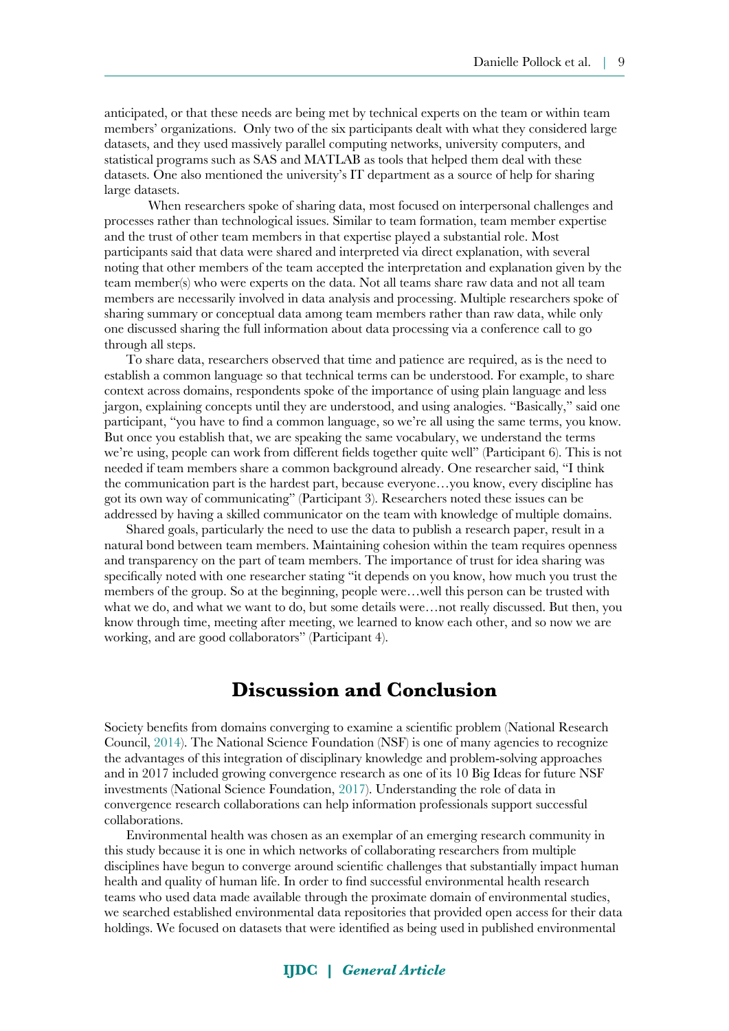anticipated, or that these needs are being met by technical experts on the team or within team members' organizations. Only two of the six participants dealt with what they considered large datasets, and they used massively parallel computing networks, university computers, and statistical programs such as SAS and MATLAB as tools that helped them deal with these datasets. One also mentioned the university's IT department as a source of help for sharing large datasets.

When researchers spoke of sharing data, most focused on interpersonal challenges and processes rather than technological issues. Similar to team formation, team member expertise and the trust of other team members in that expertise played a substantial role. Most participants said that data were shared and interpreted via direct explanation, with several noting that other members of the team accepted the interpretation and explanation given by the team member(s) who were experts on the data. Not all teams share raw data and not all team members are necessarily involved in data analysis and processing. Multiple researchers spoke of sharing summary or conceptual data among team members rather than raw data, while only one discussed sharing the full information about data processing via a conference call to go through all steps.

To share data, researchers observed that time and patience are required, as is the need to establish a common language so that technical terms can be understood. For example, to share context across domains, respondents spoke of the importance of using plain language and less jargon, explaining concepts until they are understood, and using analogies. "Basically," said one participant, "you have to find a common language, so we're all using the same terms, you know. But once you establish that, we are speaking the same vocabulary, we understand the terms we're using, people can work from different fields together quite well" (Participant 6). This is not needed if team members share a common background already. One researcher said, "I think the communication part is the hardest part, because everyone…you know, every discipline has got its own way of communicating" (Participant 3). Researchers noted these issues can be addressed by having a skilled communicator on the team with knowledge of multiple domains.

Shared goals, particularly the need to use the data to publish a research paper, result in a natural bond between team members. Maintaining cohesion within the team requires openness and transparency on the part of team members. The importance of trust for idea sharing was specifically noted with one researcher stating "it depends on you know, how much you trust the members of the group. So at the beginning, people were…well this person can be trusted with what we do, and what we want to do, but some details were…not really discussed. But then, you know through time, meeting after meeting, we learned to know each other, and so now we are working, and are good collaborators" (Participant 4).

### **Discussion and Conclusion**

Society benefits from domains converging to examine a scientific problem (National Research Council, [2014\)](#page-12-0). The National Science Foundation (NSF) is one of many agencies to recognize the advantages of this integration of disciplinary knowledge and problem-solving approaches and in 2017 included growing convergence research as one of its 10 Big Ideas for future NSF investments (National Science Foundation, [2017\)](#page-13-1). Understanding the role of data in convergence research collaborations can help information professionals support successful collaborations.

Environmental health was chosen as an exemplar of an emerging research community in this study because it is one in which networks of collaborating researchers from multiple disciplines have begun to converge around scientific challenges that substantially impact human health and quality of human life. In order to find successful environmental health research teams who used data made available through the proximate domain of environmental studies, we searched established environmental data repositories that provided open access for their data holdings. We focused on datasets that were identified as being used in published environmental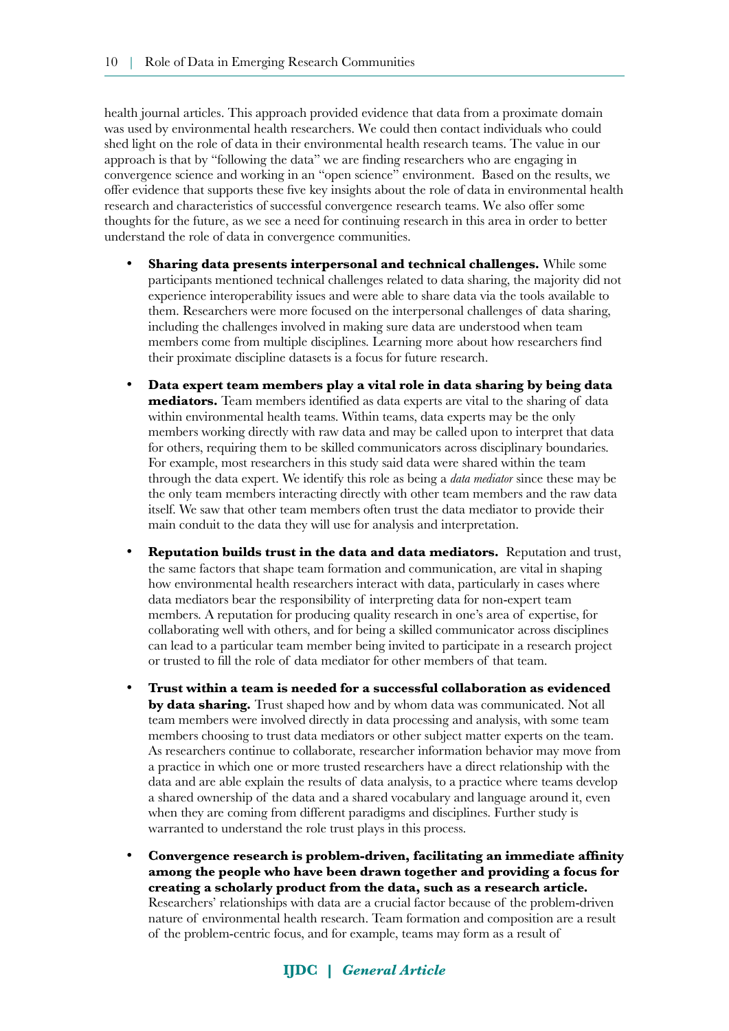health journal articles. This approach provided evidence that data from a proximate domain was used by environmental health researchers. We could then contact individuals who could shed light on the role of data in their environmental health research teams. The value in our approach is that by "following the data" we are finding researchers who are engaging in convergence science and working in an "open science" environment. Based on the results, we offer evidence that supports these five key insights about the role of data in environmental health research and characteristics of successful convergence research teams. We also offer some thoughts for the future, as we see a need for continuing research in this area in order to better understand the role of data in convergence communities.

- **Sharing data presents interpersonal and technical challenges.** While some participants mentioned technical challenges related to data sharing, the majority did not experience interoperability issues and were able to share data via the tools available to them. Researchers were more focused on the interpersonal challenges of data sharing, including the challenges involved in making sure data are understood when team members come from multiple disciplines. Learning more about how researchers find their proximate discipline datasets is a focus for future research.
- **Data expert team members play a vital role in data sharing by being data mediators.** Team members identified as data experts are vital to the sharing of data within environmental health teams. Within teams, data experts may be the only members working directly with raw data and may be called upon to interpret that data for others, requiring them to be skilled communicators across disciplinary boundaries. For example, most researchers in this study said data were shared within the team through the data expert. We identify this role as being a *data mediator* since these may be the only team members interacting directly with other team members and the raw data itself. We saw that other team members often trust the data mediator to provide their main conduit to the data they will use for analysis and interpretation.
- **Reputation builds trust in the data and data mediators.** Reputation and trust, the same factors that shape team formation and communication, are vital in shaping how environmental health researchers interact with data, particularly in cases where data mediators bear the responsibility of interpreting data for non-expert team members. A reputation for producing quality research in one's area of expertise, for collaborating well with others, and for being a skilled communicator across disciplines can lead to a particular team member being invited to participate in a research project or trusted to fill the role of data mediator for other members of that team.
- **Trust within a team is needed for a successful collaboration as evidenced by data sharing.** Trust shaped how and by whom data was communicated. Not all team members were involved directly in data processing and analysis, with some team members choosing to trust data mediators or other subject matter experts on the team. As researchers continue to collaborate, researcher information behavior may move from a practice in which one or more trusted researchers have a direct relationship with the data and are able explain the results of data analysis, to a practice where teams develop a shared ownership of the data and a shared vocabulary and language around it, even when they are coming from different paradigms and disciplines. Further study is warranted to understand the role trust plays in this process.
- **Convergence research is problem-driven, facilitating an immediate affinity among the people who have been drawn together and providing a focus for creating a scholarly product from the data, such as a research article.** Researchers' relationships with data are a crucial factor because of the problem-driven nature of environmental health research. Team formation and composition are a result of the problem-centric focus, and for example, teams may form as a result of

### **IJDC |** *General Article*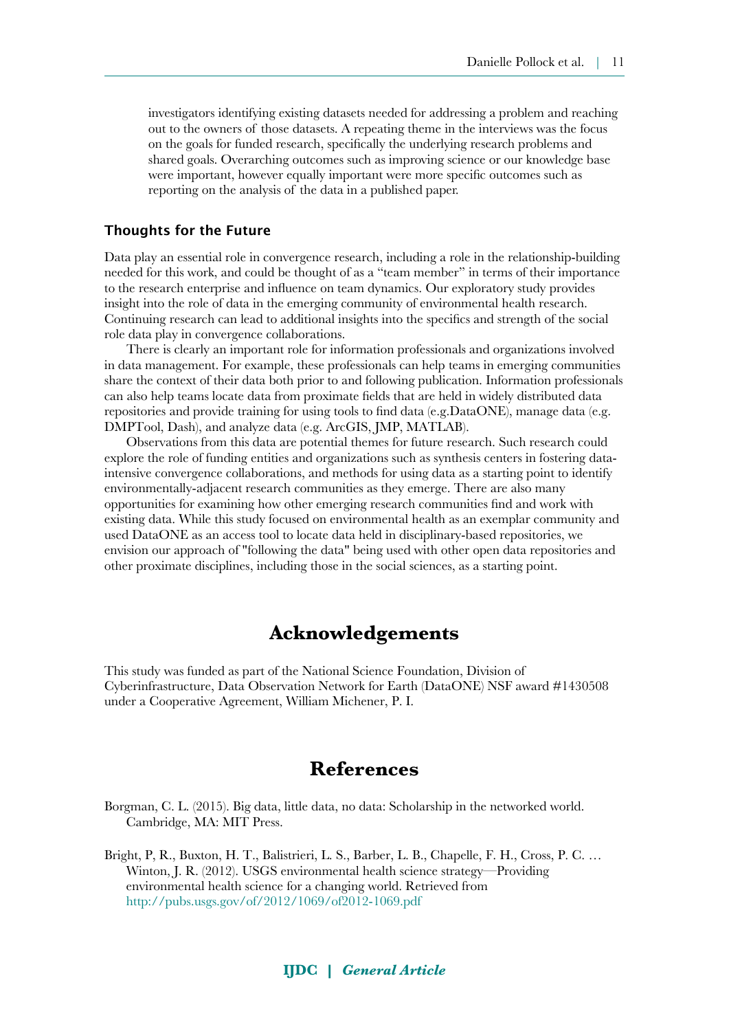investigators identifying existing datasets needed for addressing a problem and reaching out to the owners of those datasets. A repeating theme in the interviews was the focus on the goals for funded research, specifically the underlying research problems and shared goals. Overarching outcomes such as improving science or our knowledge base were important, however equally important were more specific outcomes such as reporting on the analysis of the data in a published paper.

#### Thoughts for the Future

Data play an essential role in convergence research, including a role in the relationship-building needed for this work, and could be thought of as a "team member" in terms of their importance to the research enterprise and influence on team dynamics. Our exploratory study provides insight into the role of data in the emerging community of environmental health research. Continuing research can lead to additional insights into the specifics and strength of the social role data play in convergence collaborations.

There is clearly an important role for information professionals and organizations involved in data management. For example, these professionals can help teams in emerging communities share the context of their data both prior to and following publication. Information professionals can also help teams locate data from proximate fields that are held in widely distributed data repositories and provide training for using tools to find data (e.g.DataONE), manage data (e.g. DMPTool, Dash), and analyze data (e.g. ArcGIS, JMP, MATLAB).

Observations from this data are potential themes for future research. Such research could explore the role of funding entities and organizations such as synthesis centers in fostering dataintensive convergence collaborations, and methods for using data as a starting point to identify environmentally-adjacent research communities as they emerge. There are also many opportunities for examining how other emerging research communities find and work with existing data. While this study focused on environmental health as an exemplar community and used DataONE as an access tool to locate data held in disciplinary-based repositories, we envision our approach of "following the data" being used with other open data repositories and other proximate disciplines, including those in the social sciences, as a starting point.

### **Acknowledgements**

This study was funded as part of the National Science Foundation, Division of Cyberinfrastructure, Data Observation Network for Earth (DataONE) NSF award #1430508 under a Cooperative Agreement, William Michener, P. I.

### **References**

<span id="page-10-0"></span>Borgman, C. L. (2015). Big data, little data, no data: Scholarship in the networked world. Cambridge, MA: MIT Press.

<span id="page-10-1"></span>Bright, P, R., Buxton, H. T., Balistrieri, L. S., Barber, L. B., Chapelle, F. H., Cross, P. C. … Winton, J. R. (2012). USGS environmental health science strategy—Providing environmental health science for a changing world. Retrieved from <http://pubs.usgs.gov/of/2012/1069/of2012-1069.pdf>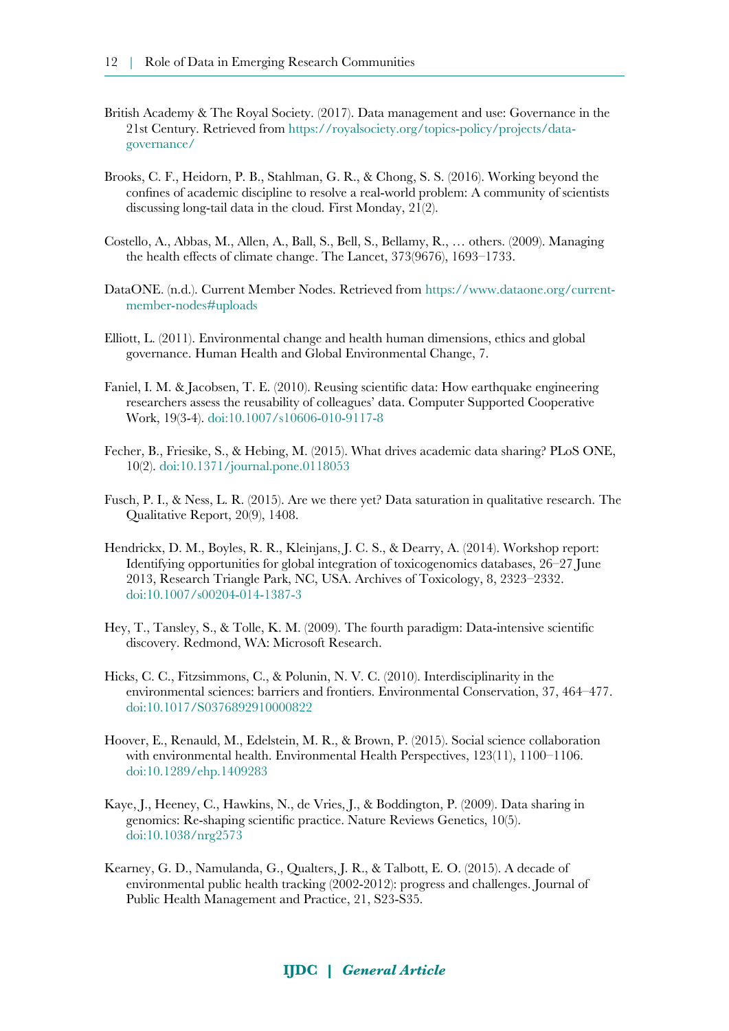- <span id="page-11-1"></span>British Academy & The Royal Society. (2017). Data management and use: Governance in the 21st Century. Retrieved from [https://royalsociety.org/topics-policy/projects/data](https://royalsociety.org/topics-policy/projects/data-governance/)[governance/](https://royalsociety.org/topics-policy/projects/data-governance/)
- <span id="page-11-7"></span>Brooks, C. F., Heidorn, P. B., Stahlman, G. R., & Chong, S. S. (2016). Working beyond the confines of academic discipline to resolve a real-world problem: A community of scientists discussing long-tail data in the cloud. First Monday, 21(2).
- <span id="page-11-3"></span>Costello, A., Abbas, M., Allen, A., Ball, S., Bell, S., Bellamy, R., … others. (2009). Managing the health effects of climate change. The Lancet, 373(9676), 1693–1733.
- <span id="page-11-10"></span>DataONE. (n.d.). Current Member Nodes. Retrieved from [https://www.dataone.org/current](https://www.dataone.org/current-member-nodes#uploads)[member-nodes#uploads](https://www.dataone.org/current-member-nodes#uploads)
- <span id="page-11-4"></span>Elliott, L. (2011). Environmental change and health human dimensions, ethics and global governance. Human Health and Global Environmental Change, 7.
- <span id="page-11-12"></span>Faniel, I. M. & Jacobsen, T. E. (2010). Reusing scientific data: How earthquake engineering researchers assess the reusability of colleagues' data. Computer Supported Cooperative Work, 19(3-4). [doi:10.1007/s10606-010-9117-8](https://doi.org/10.1007/s10606-010-9117-8)
- Fecher, B., Friesike, S., & Hebing, M. (2015). What drives academic data sharing? PLoS ONE, 10(2). [doi:10.1371/journal.pone.0118053](https://doi.org/10.1371/journal.pone.0118053)
- <span id="page-11-9"></span>Fusch, P. I., & Ness, L. R. (2015). Are we there yet? Data saturation in qualitative research. The Qualitative Report, 20(9), 1408.
- <span id="page-11-6"></span>Hendrickx, D. M., Boyles, R. R., Kleinjans, J. C. S., & Dearry, A. (2014). Workshop report: Identifying opportunities for global integration of toxicogenomics databases, 26–27 June 2013, Research Triangle Park, NC, USA. Archives of Toxicology, 8, 2323–2332. [doi:10.1007/s00204-014-1387-3](https://doi.org/10.1007/s00204-014-1387-3)
- <span id="page-11-0"></span>Hey, T., Tansley, S., & Tolle, K. M. (2009). The fourth paradigm: Data-intensive scientific discovery. Redmond, WA: Microsoft Research.
- <span id="page-11-8"></span>Hicks, C. C., Fitzsimmons, C., & Polunin, N. V. C. (2010). Interdisciplinarity in the environmental sciences: barriers and frontiers. Environmental Conservation, 37, 464–477. [doi:10.1017/S0376892910000822](https://doi.org/10.1017/S0376892910000822)
- <span id="page-11-5"></span>Hoover, E., Renauld, M., Edelstein, M. R., & Brown, P. (2015). Social science collaboration with environmental health. Environmental Health Perspectives, 123(11), 1100–1106. [doi:10.1289/ehp.1409283](http://dx.doi.org/10.1289/ehp.1409283)
- <span id="page-11-11"></span>Kaye, J., Heeney, C., Hawkins, N., de Vries, J., & Boddington, P. (2009). Data sharing in genomics: Re-shaping scientific practice. Nature Reviews Genetics, 10(5). [doi:10.1038/nrg2573](https://doi.org/10.1038/nrg2573)
- <span id="page-11-2"></span>Kearney, G. D., Namulanda, G., Qualters, J. R., & Talbott, E. O. (2015). A decade of environmental public health tracking (2002-2012): progress and challenges. Journal of Public Health Management and Practice, 21, S23-S35.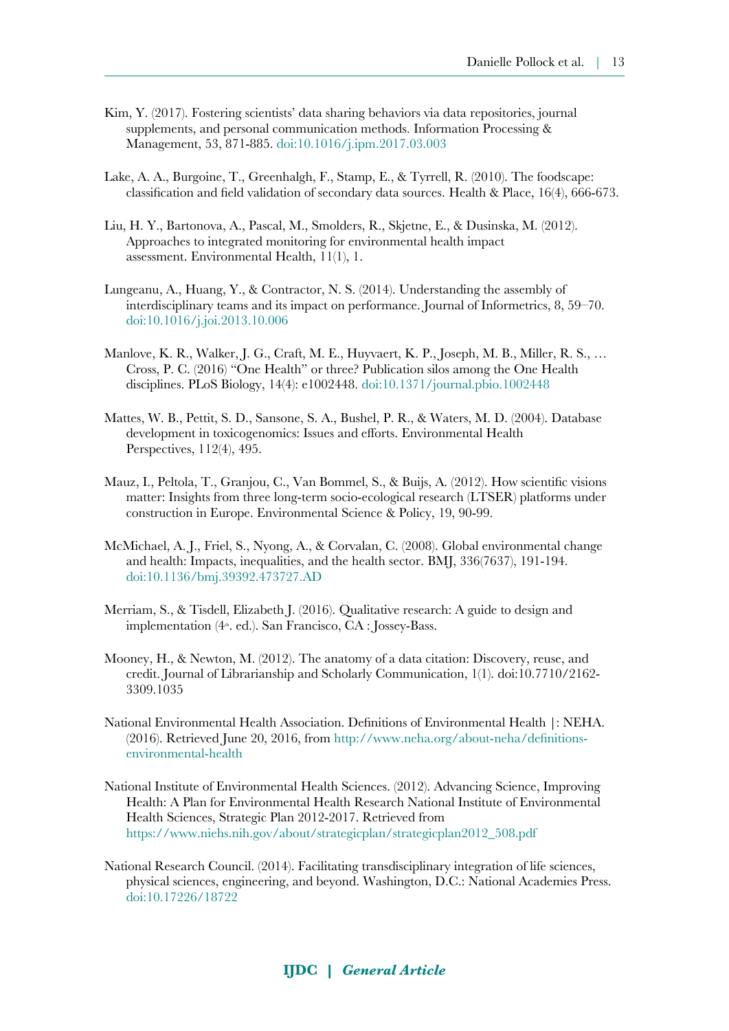- Kim, Y. (2017). Fostering scientists' data sharing behaviors via data repositories, journal supplements, and personal communication methods. Information Processing & Management, 53, 871-885. [doi:10.1016/j.ipm.2017.03.003](https://doi.org/10.1016/j.ipm.2017.03.003)
- <span id="page-12-4"></span>Lake, A. A., Burgoine, T., Greenhalgh, F., Stamp, E., & Tyrrell, R. (2010). The foodscape: classification and field validation of secondary data sources. Health & Place, 16(4), 666-673.
- <span id="page-12-6"></span>Liu, H. Y., Bartonova, A., Pascal, M., Smolders, R., Skjetne, E., & Dusinska, M. (2012). Approaches to integrated monitoring for environmental health impact assessment. Environmental Health, 11(1), 1.
- <span id="page-12-7"></span>Lungeanu, A., Huang, Y., & Contractor, N. S. (2014). Understanding the assembly of interdisciplinary teams and its impact on performance. Journal of Informetrics, 8, 59–70. [doi:10.1016/j.joi.2013.10.006](https://dx.doi.org/10.1016%2Fj.joi.2013.10.006)
- <span id="page-12-9"></span>Manlove, K. R., Walker, J. G., Craft, M. E., Huyvaert, K. P., Joseph, M. B., Miller, R. S., … Cross, P. C. (2016) "One Health" or three? Publication silos among the One Health disciplines. PLoS Biology, 14(4): e1002448. [doi:10.1371/journal.pbio.1002448](https://doi.org/10.1371/journal.pbio.1002448)
- <span id="page-12-3"></span>Mattes, W. B., Pettit, S. D., Sansone, S. A., Bushel, P. R., & Waters, M. D. (2004). Database development in toxicogenomics: Issues and efforts. Environmental Health Perspectives, 112(4), 495.
- <span id="page-12-5"></span>Mauz, I., Peltola, T., Granjou, C., Van Bommel, S., & Buijs, A. (2012). How scientific visions matter: Insights from three long-term socio-ecological research (LTSER) platforms under construction in Europe. Environmental Science & Policy, 19, 90-99.
- <span id="page-12-1"></span>McMichael, A. J., Friel, S., Nyong, A., & Corvalan, C. (2008). Global environmental change and health: Impacts, inequalities, and the health sector. BMJ, 336(7637), 191-194. [doi:10.1136/bmj.39392.473727.AD](https://doi.org/10.1136/bmj.39392.473727.AD)
- <span id="page-12-11"></span>Merriam, S., & Tisdell, Elizabeth J. (2016). Qualitative research: A guide to design and implementation (4<sup>th</sup>. ed.). San Francisco, CA : Jossey-Bass.
- <span id="page-12-10"></span>Mooney, H., & Newton, M. (2012). The anatomy of a data citation: Discovery, reuse, and credit. Journal of Librarianship and Scholarly Communication, 1(1). doi:10.7710/2162- 3309.1035
- <span id="page-12-8"></span>National Environmental Health Association. Definitions of Environmental Health |: NEHA. (2016). Retrieved June 20, 2016, from [http://www.neha.org/about-neha/definitions](http://www.neha.org/about-neha/definitions-environmental-health)[environmental-health](http://www.neha.org/about-neha/definitions-environmental-health)
- <span id="page-12-2"></span>National Institute of Environmental Health Sciences. (2012). Advancing Science, Improving Health: A Plan for Environmental Health Research National Institute of Environmental Health Sciences, Strategic Plan 2012-2017. Retrieved from [https://www.niehs.nih.gov/about/strategicplan/strategicplan2012\\_508.pdf](https://www.niehs.nih.gov/about/strategicplan/strategicplan2012_508.pdf)
- <span id="page-12-0"></span>National Research Council. (2014). Facilitating transdisciplinary integration of life sciences, physical sciences, engineering, and beyond. Washington, D.C.: National Academies Press. [doi:10.17226/18722](https://doi.org/10.17226/18722)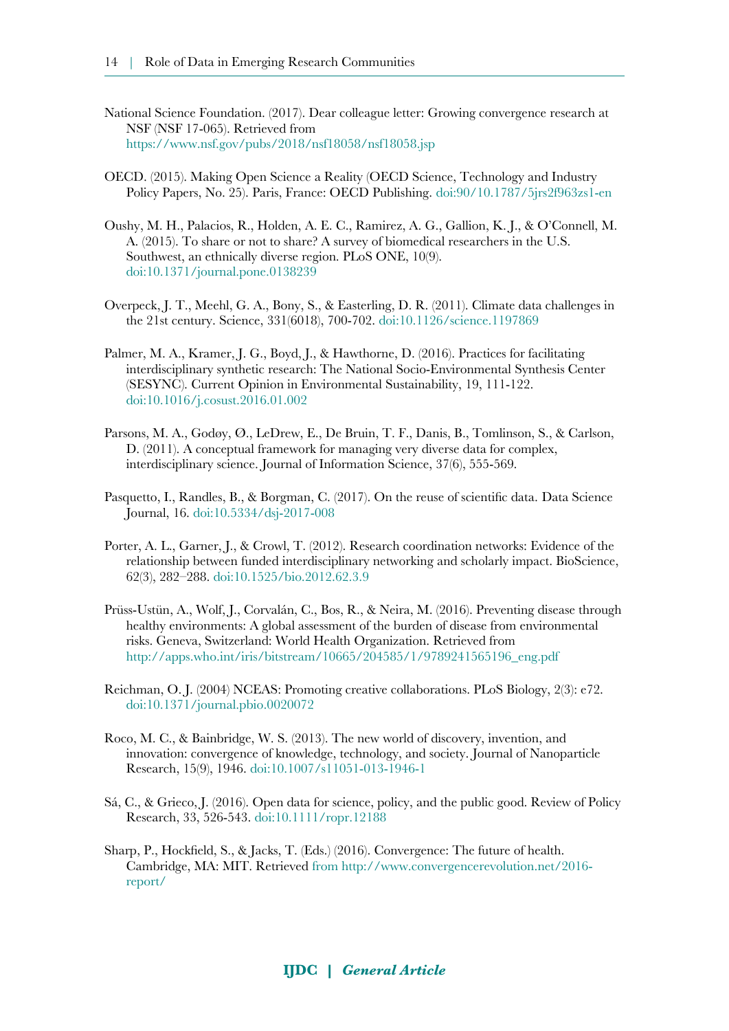- <span id="page-13-1"></span>National Science Foundation. (2017). Dear colleague letter: Growing convergence research at NSF (NSF 17-065). Retrieved from <https://www.nsf.gov/pubs/2018/nsf18058/nsf18058.jsp>
- <span id="page-13-2"></span>OECD. (2015). Making Open Science a Reality (OECD Science, Technology and Industry Policy Papers, No. 25). Paris, France: OECD Publishing. [doi:90/10.1787/5jrs2f963zs1-en](http://dx.doi.org/10.1787/5jrs2f963zs1-en)
- Oushy, M. H., Palacios, R., Holden, A. E. C., Ramirez, A. G., Gallion, K. J., & O'Connell, M. A. (2015). To share or not to share? A survey of biomedical researchers in the U.S. Southwest, an ethnically diverse region. PLoS ONE, 10(9). [doi:10.1371/journal.pone.0138239](https://doi.org/10.1371/journal.pone.0138239)
- <span id="page-13-8"></span>Overpeck, J. T., Meehl, G. A., Bony, S., & Easterling, D. R. (2011). Climate data challenges in the 21st century. Science, 331(6018), 700-702. [doi:10.1126/science.1197869](https://doi.org/10.1126/science.1197869)
- <span id="page-13-7"></span>Palmer, M. A., Kramer, J. G., Boyd, J., & Hawthorne, D. (2016). Practices for facilitating interdisciplinary synthetic research: The National Socio-Environmental Synthesis Center (SESYNC). Current Opinion in Environmental Sustainability, 19, 111-122. [doi:10.1016/j.cosust.2016.01.002](https://doi.org/10.1016/j.cosust.2016.01.002)
- <span id="page-13-5"></span>Parsons, M. A., Godøy, Ø., LeDrew, E., De Bruin, T. F., Danis, B., Tomlinson, S., & Carlson, D. (2011). A conceptual framework for managing very diverse data for complex, interdisciplinary science. Journal of Information Science, 37(6), 555-569.
- <span id="page-13-4"></span>Pasquetto, I., Randles, B., & Borgman, C. (2017). On the reuse of scientific data. Data Science Journal, 16. [doi:10.5334/dsj-2017-008](http://doi.org/10.5334/dsj-2017-008)
- <span id="page-13-10"></span>Porter, A. L., Garner, J., & Crowl, T. (2012). Research coordination networks: Evidence of the relationship between funded interdisciplinary networking and scholarly impact. BioScience, 62(3), 282–288. [doi:10.1525/bio.2012.62.3.9](https://doi.org/10.1525/bio.2012.62.3.9)
- <span id="page-13-6"></span>Prüss-Ustün, A., Wolf, J., Corvalán, C., Bos, R., & Neira, M. (2016). Preventing disease through healthy environments: A global assessment of the burden of disease from environmental risks. Geneva, Switzerland: World Health Organization. Retrieved from [http://apps.who.int/iris/bitstream/10665/204585/1/9789241565196\\_eng.pdf](http://apps.who.int/iris/bitstream/10665/204585/1/9789241565196_eng.pdf)
- <span id="page-13-9"></span>Reichman, O. J. (2004) NCEAS: Promoting creative collaborations. PLoS Biology, 2(3): e72. [doi:10.1371/journal.pbio.0020072](https://doi.org/10.1371/journal.pbio.0020072)
- <span id="page-13-11"></span>Roco, M. C., & Bainbridge, W. S. (2013). The new world of discovery, invention, and innovation: convergence of knowledge, technology, and society. Journal of Nanoparticle Research, 15(9), 1946. [doi:10.1007/s11051-013-1946-1](https://doi.org/10.1007/s11051-013-1946-1)
- <span id="page-13-3"></span>Sá, C., & Grieco, J. (2016). Open data for science, policy, and the public good. Review of Policy Research, 33, 526-543. [doi:10.1111/ropr.12188](https://doi.org/10.1111/ropr.12188)
- <span id="page-13-0"></span>Sharp, P., Hockfield, S., & Jacks, T. (Eds.) (2016). Convergence: The future of health. Cambridge, MA: MIT. Retrieved from [http://www.convergencerevolution.net/2016](http://www.convergencerevolution.net/2016-report/) [report/](http://www.convergencerevolution.net/2016-report/)